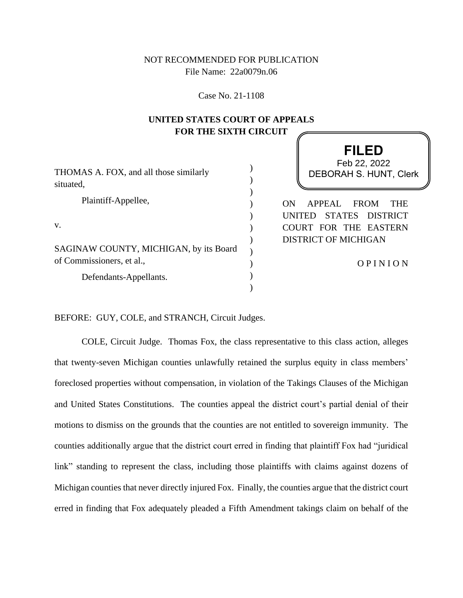# NOT RECOMMENDED FOR PUBLICATION File Name: 22a0079n.06

Case No. 21-1108

# **UNITED STATES COURT OF APPEALS FOR THE SIXTH CIRCUIT**

**FILED**

| THOMAS A. FOX, and all those similarly<br>situated,                 | Feb 22, 2022<br><b>DEBORAH S. HUNT, Clerk</b>                                        |
|---------------------------------------------------------------------|--------------------------------------------------------------------------------------|
| Plaintiff-Appellee,                                                 | APPEAL<br>ON<br><b>FROM</b><br><b>THE</b>                                            |
| V.                                                                  | <b>STATES</b><br>DISTRICT<br>UNITED<br>COURT FOR THE EASTERN<br>DISTRICT OF MICHIGAN |
| SAGINAW COUNTY, MICHIGAN, by its Board<br>of Commissioners, et al., | OPINION                                                                              |
| Defendants-Appellants.                                              |                                                                                      |

BEFORE: GUY, COLE, and STRANCH, Circuit Judges.

COLE, Circuit Judge. Thomas Fox, the class representative to this class action, alleges that twenty-seven Michigan counties unlawfully retained the surplus equity in class members' foreclosed properties without compensation, in violation of the Takings Clauses of the Michigan and United States Constitutions. The counties appeal the district court's partial denial of their motions to dismiss on the grounds that the counties are not entitled to sovereign immunity. The counties additionally argue that the district court erred in finding that plaintiff Fox had "juridical link" standing to represent the class, including those plaintiffs with claims against dozens of Michigan counties that never directly injured Fox. Finally, the counties argue that the district court erred in finding that Fox adequately pleaded a Fifth Amendment takings claim on behalf of the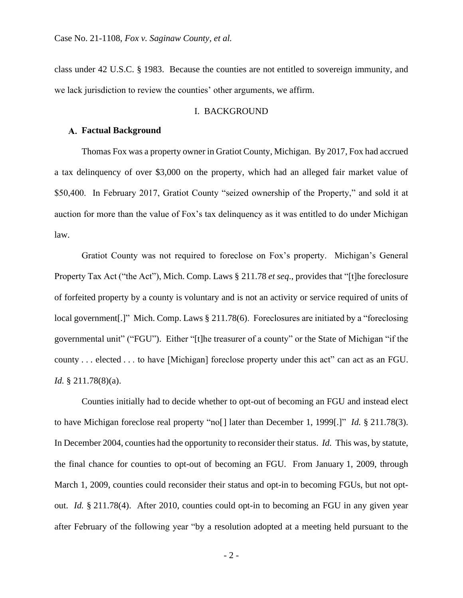class under 42 U.S.C. § 1983. Because the counties are not entitled to sovereign immunity, and we lack jurisdiction to review the counties' other arguments, we affirm.

## I. BACKGROUND

## **Factual Background**

Thomas Fox was a property owner in Gratiot County, Michigan. By 2017, Fox had accrued a tax delinquency of over \$3,000 on the property, which had an alleged fair market value of \$50,400. In February 2017, Gratiot County "seized ownership of the Property," and sold it at auction for more than the value of Fox's tax delinquency as it was entitled to do under Michigan law.

Gratiot County was not required to foreclose on Fox's property. Michigan's General Property Tax Act ("the Act"), Mich. Comp. Laws § 211.78 *et seq*., provides that "[t]he foreclosure of forfeited property by a county is voluntary and is not an activity or service required of units of local government.<sup>[1]</sup> Mich. Comp. Laws § 211.78(6). Foreclosures are initiated by a "foreclosing" governmental unit" ("FGU"). Either "[t]he treasurer of a county" or the State of Michigan "if the county . . . elected . . . to have [Michigan] foreclose property under this act" can act as an FGU. *Id.* § 211.78(8)(a).

Counties initially had to decide whether to opt-out of becoming an FGU and instead elect to have Michigan foreclose real property "no[] later than December 1, 1999[.]" *Id.* § 211.78(3). In December 2004, counties had the opportunity to reconsider their status. *Id.* This was, by statute, the final chance for counties to opt-out of becoming an FGU. From January 1, 2009, through March 1, 2009, counties could reconsider their status and opt-in to becoming FGUs, but not optout. *Id.* § 211.78(4). After 2010, counties could opt-in to becoming an FGU in any given year after February of the following year "by a resolution adopted at a meeting held pursuant to the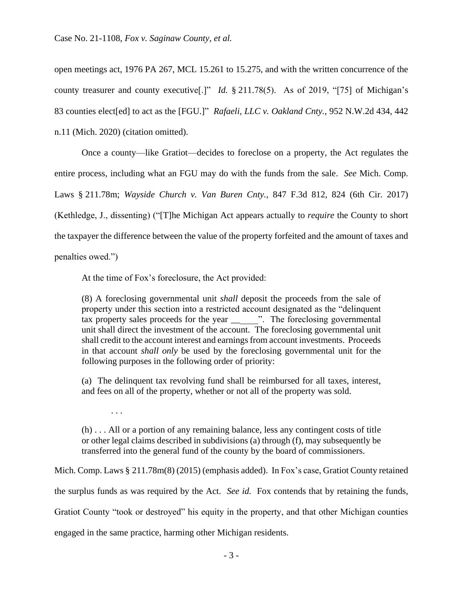open meetings act, 1976 PA 267, MCL 15.261 to 15.275, and with the written concurrence of the county treasurer and county executive[.]" *Id.* § 211.78(5). As of 2019, "[75] of Michigan's 83 counties elect[ed] to act as the [FGU.]" *Rafaeli, LLC v. Oakland Cnty.*, 952 N.W.2d 434, 442 n.11 (Mich. 2020) (citation omitted).

Once a county—like Gratiot—decides to foreclose on a property, the Act regulates the entire process, including what an FGU may do with the funds from the sale. *See* Mich. Comp. Laws § 211.78m; *Wayside Church v. Van Buren Cnty.*, 847 F.3d 812, 824 (6th Cir. 2017) (Kethledge, J., dissenting) ("[T]he Michigan Act appears actually to *require* the County to short the taxpayer the difference between the value of the property forfeited and the amount of taxes and penalties owed.")

At the time of Fox's foreclosure, the Act provided:

. . .

(8) A foreclosing governmental unit *shall* deposit the proceeds from the sale of property under this section into a restricted account designated as the "delinquent tax property sales proceeds for the year \_\_\_\_\_\_". The foreclosing governmental unit shall direct the investment of the account. The foreclosing governmental unit shall credit to the account interest and earnings from account investments. Proceeds in that account *shall only* be used by the foreclosing governmental unit for the following purposes in the following order of priority:

(a) The delinquent tax revolving fund shall be reimbursed for all taxes, interest, and fees on all of the property, whether or not all of the property was sold.

(h) . . . All or a portion of any remaining balance, less any contingent costs of title or other legal claims described in subdivisions (a) through (f), may subsequently be transferred into the general fund of the county by the board of commissioners.

Mich. Comp. Laws § 211.78m(8) (2015) (emphasis added). In Fox's case, Gratiot County retained the surplus funds as was required by the Act. *See id.* Fox contends that by retaining the funds, Gratiot County "took or destroyed" his equity in the property, and that other Michigan counties engaged in the same practice, harming other Michigan residents.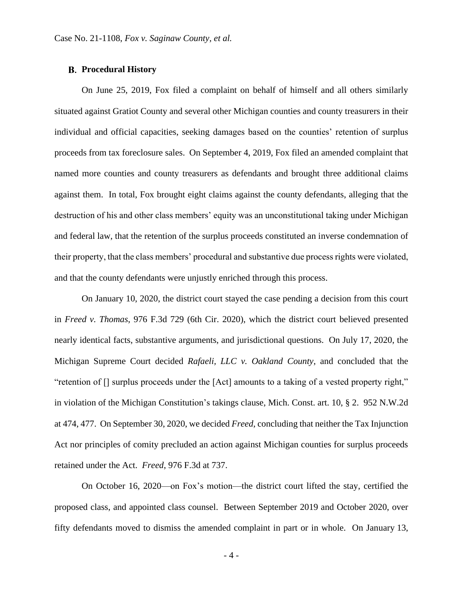#### **Procedural History**

On June 25, 2019, Fox filed a complaint on behalf of himself and all others similarly situated against Gratiot County and several other Michigan counties and county treasurers in their individual and official capacities, seeking damages based on the counties' retention of surplus proceeds from tax foreclosure sales. On September 4, 2019, Fox filed an amended complaint that named more counties and county treasurers as defendants and brought three additional claims against them. In total, Fox brought eight claims against the county defendants, alleging that the destruction of his and other class members' equity was an unconstitutional taking under Michigan and federal law, that the retention of the surplus proceeds constituted an inverse condemnation of their property, that the class members' procedural and substantive due process rights were violated, and that the county defendants were unjustly enriched through this process.

On January 10, 2020, the district court stayed the case pending a decision from this court in *Freed v. Thomas*, 976 F.3d 729 (6th Cir. 2020), which the district court believed presented nearly identical facts, substantive arguments, and jurisdictional questions. On July 17, 2020, the Michigan Supreme Court decided *Rafaeli, LLC v. Oakland County*, and concluded that the "retention of [] surplus proceeds under the [Act] amounts to a taking of a vested property right," in violation of the Michigan Constitution's takings clause, Mich. Const. art. 10, § 2. 952 N.W.2d at 474, 477. On September 30, 2020, we decided *Freed*, concluding that neither the Tax Injunction Act nor principles of comity precluded an action against Michigan counties for surplus proceeds retained under the Act. *Freed*, 976 F.3d at 737.

On October 16, 2020—on Fox's motion—the district court lifted the stay, certified the proposed class, and appointed class counsel. Between September 2019 and October 2020, over fifty defendants moved to dismiss the amended complaint in part or in whole. On January 13,

- 4 -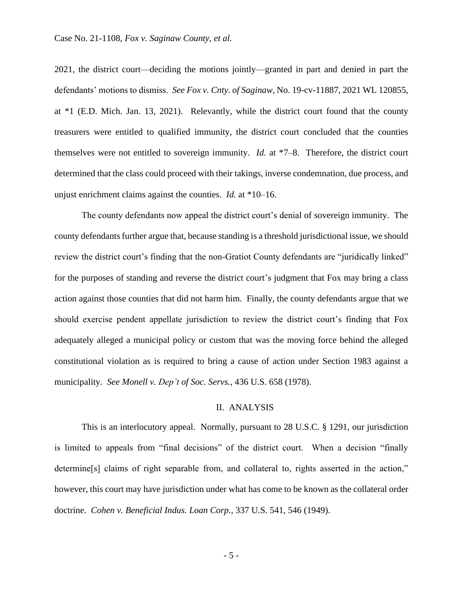2021, the district court—deciding the motions jointly—granted in part and denied in part the defendants' motions to dismiss. *See Fox v. Cnty. of Saginaw*, No. 19-cv-11887, 2021 WL 120855, at \*1 (E.D. Mich. Jan. 13, 2021). Relevantly, while the district court found that the county treasurers were entitled to qualified immunity, the district court concluded that the counties themselves were not entitled to sovereign immunity. *Id.* at \*7–8. Therefore, the district court determined that the class could proceed with their takings, inverse condemnation, due process, and unjust enrichment claims against the counties. *Id.* at \*10–16.

The county defendants now appeal the district court's denial of sovereign immunity. The county defendants further argue that, because standing is a threshold jurisdictional issue, we should review the district court's finding that the non-Gratiot County defendants are "juridically linked" for the purposes of standing and reverse the district court's judgment that Fox may bring a class action against those counties that did not harm him. Finally, the county defendants argue that we should exercise pendent appellate jurisdiction to review the district court's finding that Fox adequately alleged a municipal policy or custom that was the moving force behind the alleged constitutional violation as is required to bring a cause of action under Section 1983 against a municipality. *See Monell v. Dep't of Soc. Servs.*, 436 U.S. 658 (1978).

## II. ANALYSIS

This is an interlocutory appeal. Normally, pursuant to 28 U.S.C. § 1291, our jurisdiction is limited to appeals from "final decisions" of the district court. When a decision "finally determine[s] claims of right separable from, and collateral to, rights asserted in the action," however, this court may have jurisdiction under what has come to be known as the collateral order doctrine. *Cohen v. Beneficial Indus. Loan Corp.*, 337 U.S. 541, 546 (1949).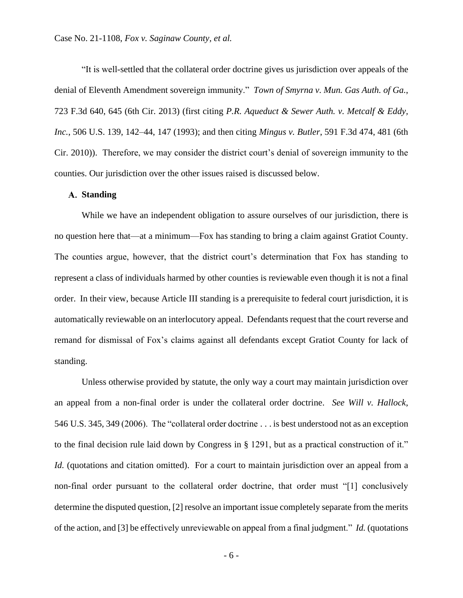"It is well-settled that the collateral order doctrine gives us jurisdiction over appeals of the denial of Eleventh Amendment sovereign immunity." *Town of Smyrna v. Mun. Gas Auth. of Ga.*, 723 F.3d 640, 645 (6th Cir. 2013) (first citing *P.R. Aqueduct & Sewer Auth. v. Metcalf & Eddy, Inc.*, 506 U.S. 139, 142–44, 147 (1993); and then citing *Mingus v. Butler*, 591 F.3d 474, 481 (6th Cir. 2010)). Therefore, we may consider the district court's denial of sovereign immunity to the counties. Our jurisdiction over the other issues raised is discussed below.

### **Standing**

While we have an independent obligation to assure ourselves of our jurisdiction, there is no question here that—at a minimum—Fox has standing to bring a claim against Gratiot County. The counties argue, however, that the district court's determination that Fox has standing to represent a class of individuals harmed by other counties is reviewable even though it is not a final order. In their view, because Article III standing is a prerequisite to federal court jurisdiction, it is automatically reviewable on an interlocutory appeal. Defendants request that the court reverse and remand for dismissal of Fox's claims against all defendants except Gratiot County for lack of standing.

Unless otherwise provided by statute, the only way a court may maintain jurisdiction over an appeal from a non-final order is under the collateral order doctrine. *See Will v. Hallock*, 546 U.S. 345, 349 (2006). The "collateral order doctrine . . . is best understood not as an exception to the final decision rule laid down by Congress in § 1291, but as a practical construction of it." *Id.* (quotations and citation omitted). For a court to maintain jurisdiction over an appeal from a non-final order pursuant to the collateral order doctrine, that order must "[1] conclusively determine the disputed question, [2] resolve an important issue completely separate from the merits of the action, and [3] be effectively unreviewable on appeal from a final judgment." *Id.* (quotations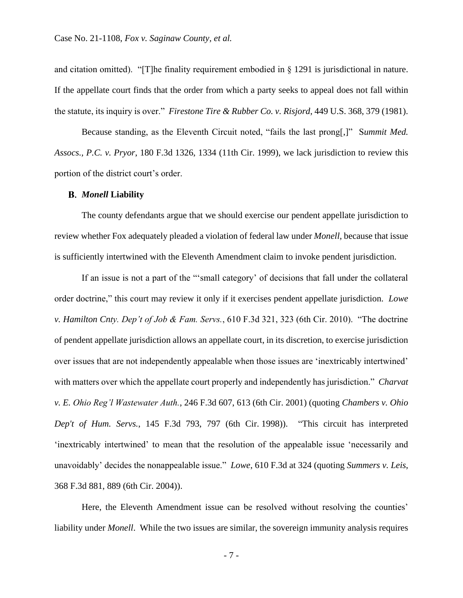and citation omitted). "[T]he finality requirement embodied in  $\S$  1291 is jurisdictional in nature. If the appellate court finds that the order from which a party seeks to appeal does not fall within the statute, its inquiry is over." *Firestone Tire & Rubber Co. v. Risjord*, 449 U.S. 368, 379 (1981).

Because standing, as the Eleventh Circuit noted, "fails the last prong[,]" S*ummit Med. Assocs., P.C. v. Pryor*, 180 F.3d 1326, 1334 (11th Cir. 1999), we lack jurisdiction to review this portion of the district court's order.

#### *Monell* **Liability**

The county defendants argue that we should exercise our pendent appellate jurisdiction to review whether Fox adequately pleaded a violation of federal law under *Monell*, because that issue is sufficiently intertwined with the Eleventh Amendment claim to invoke pendent jurisdiction.

If an issue is not a part of the "'small category' of decisions that fall under the collateral order doctrine," this court may review it only if it exercises pendent appellate jurisdiction. *Lowe v. Hamilton Cnty. Dep't of Job & Fam. Servs.*, 610 F.3d 321, 323 (6th Cir. 2010). "The doctrine of pendent appellate jurisdiction allows an appellate court, in its discretion, to exercise jurisdiction over issues that are not independently appealable when those issues are 'inextricably intertwined' with matters over which the appellate court properly and independently has jurisdiction." *Charvat v. E. Ohio Reg'l Wastewater Auth.*, 246 F.3d 607, 613 (6th Cir. 2001) (quoting *Chambers v. Ohio Dep't of Hum. Servs.*, 145 F.3d 793, 797 (6th Cir. 1998)). "This circuit has interpreted 'inextricably intertwined' to mean that the resolution of the appealable issue 'necessarily and unavoidably' decides the nonappealable issue." *Lowe*, 610 F.3d at 324 (quoting *Summers v. Leis*, 368 F.3d 881, 889 (6th Cir. 2004)).

Here, the Eleventh Amendment issue can be resolved without resolving the counties' liability under *Monell*. While the two issues are similar, the sovereign immunity analysis requires

- 7 -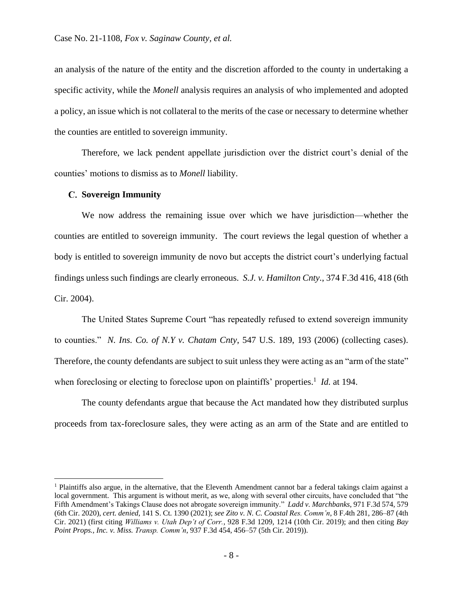an analysis of the nature of the entity and the discretion afforded to the county in undertaking a specific activity, while the *Monell* analysis requires an analysis of who implemented and adopted a policy, an issue which is not collateral to the merits of the case or necessary to determine whether the counties are entitled to sovereign immunity.

Therefore, we lack pendent appellate jurisdiction over the district court's denial of the counties' motions to dismiss as to *Monell* liability.

#### **Sovereign Immunity**

We now address the remaining issue over which we have jurisdiction—whether the counties are entitled to sovereign immunity. The court reviews the legal question of whether a body is entitled to sovereign immunity de novo but accepts the district court's underlying factual findings unless such findings are clearly erroneous. *S.J. v. Hamilton Cnty.*, 374 F.3d 416, 418 (6th Cir. 2004).

The United States Supreme Court "has repeatedly refused to extend sovereign immunity to counties." *N. Ins. Co. of N.Y v. Chatam Cnty*, 547 U.S. 189, 193 (2006) (collecting cases). Therefore, the county defendants are subject to suit unless they were acting as an "arm of the state" when foreclosing or electing to foreclose upon on plaintiffs' properties.<sup>1</sup> *Id.* at 194.

The county defendants argue that because the Act mandated how they distributed surplus proceeds from tax-foreclosure sales, they were acting as an arm of the State and are entitled to

<sup>1</sup> Plaintiffs also argue, in the alternative, that the Eleventh Amendment cannot bar a federal takings claim against a local government. This argument is without merit, as we, along with several other circuits, have concluded that "the Fifth Amendment's Takings Clause does not abrogate sovereign immunity." *Ladd v. Marchbanks*, 971 F.3d 574, 579 (6th Cir. 2020), *cert. denied*, 141 S. Ct. 1390 (2021); *see Zito v. N. C. Coastal Res. Comm'n*, 8 F.4th 281, 286–87 (4th Cir. 2021) (first citing *Williams v. Utah Dep't of Corr.*, 928 F.3d 1209, 1214 (10th Cir. 2019); and then citing *Bay Point Props., Inc. v. Miss. Transp. Comm'n*, 937 F.3d 454, 456–57 (5th Cir. 2019)).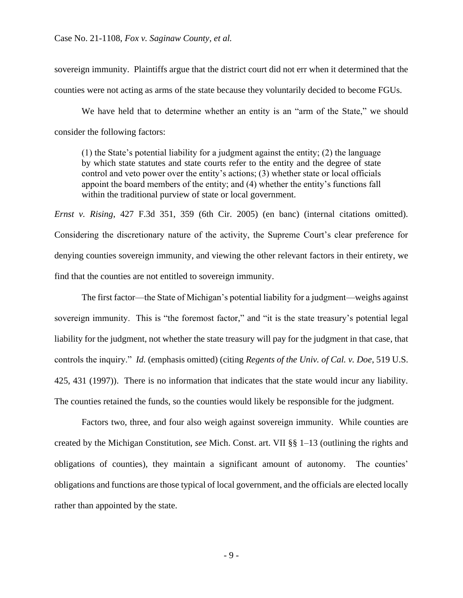sovereign immunity. Plaintiffs argue that the district court did not err when it determined that the counties were not acting as arms of the state because they voluntarily decided to become FGUs.

We have held that to determine whether an entity is an "arm of the State," we should consider the following factors:

(1) the State's potential liability for a judgment against the entity; (2) the language by which state statutes and state courts refer to the entity and the degree of state control and veto power over the entity's actions; (3) whether state or local officials appoint the board members of the entity; and (4) whether the entity's functions fall within the traditional purview of state or local government.

*Ernst v. Rising*, 427 F.3d 351, 359 (6th Cir. 2005) (en banc) (internal citations omitted). Considering the discretionary nature of the activity, the Supreme Court's clear preference for denying counties sovereign immunity, and viewing the other relevant factors in their entirety, we find that the counties are not entitled to sovereign immunity.

The first factor—the State of Michigan's potential liability for a judgment—weighs against sovereign immunity. This is "the foremost factor," and "it is the state treasury's potential legal liability for the judgment, not whether the state treasury will pay for the judgment in that case, that controls the inquiry." *Id.* (emphasis omitted) (citing *Regents of the Univ. of Cal. v. Doe*, 519 U.S. 425, 431 (1997)). There is no information that indicates that the state would incur any liability. The counties retained the funds, so the counties would likely be responsible for the judgment.

Factors two, three, and four also weigh against sovereign immunity. While counties are created by the Michigan Constitution, *see* Mich. Const. art. VII §§ 1–13 (outlining the rights and obligations of counties), they maintain a significant amount of autonomy. The counties' obligations and functions are those typical of local government, and the officials are elected locally rather than appointed by the state.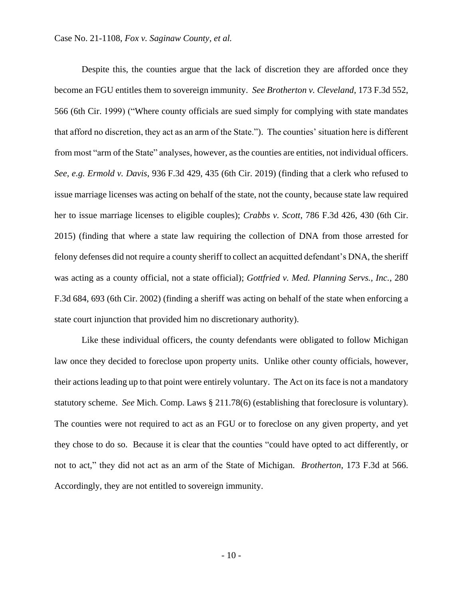Despite this, the counties argue that the lack of discretion they are afforded once they become an FGU entitles them to sovereign immunity. *See Brotherton v. Cleveland*, 173 F.3d 552, 566 (6th Cir. 1999) ("Where county officials are sued simply for complying with state mandates that afford no discretion, they act as an arm of the State."). The counties' situation here is different from most "arm of the State" analyses, however, as the counties are entities, not individual officers. *See, e.g. Ermold v. Davis*, 936 F.3d 429, 435 (6th Cir. 2019) (finding that a clerk who refused to issue marriage licenses was acting on behalf of the state, not the county, because state law required her to issue marriage licenses to eligible couples); *Crabbs v. Scott*, 786 F.3d 426, 430 (6th Cir. 2015) (finding that where a state law requiring the collection of DNA from those arrested for felony defenses did not require a county sheriff to collect an acquitted defendant's DNA, the sheriff was acting as a county official, not a state official); *Gottfried v. Med. Planning Servs., Inc.*, 280 F.3d 684, 693 (6th Cir. 2002) (finding a sheriff was acting on behalf of the state when enforcing a state court injunction that provided him no discretionary authority).

Like these individual officers, the county defendants were obligated to follow Michigan law once they decided to foreclose upon property units. Unlike other county officials, however, their actions leading up to that point were entirely voluntary. The Act on its face is not a mandatory statutory scheme. *See* Mich. Comp. Laws § 211.78(6) (establishing that foreclosure is voluntary). The counties were not required to act as an FGU or to foreclose on any given property, and yet they chose to do so. Because it is clear that the counties "could have opted to act differently, or not to act," they did not act as an arm of the State of Michigan. *Brotherton*, 173 F.3d at 566. Accordingly, they are not entitled to sovereign immunity.